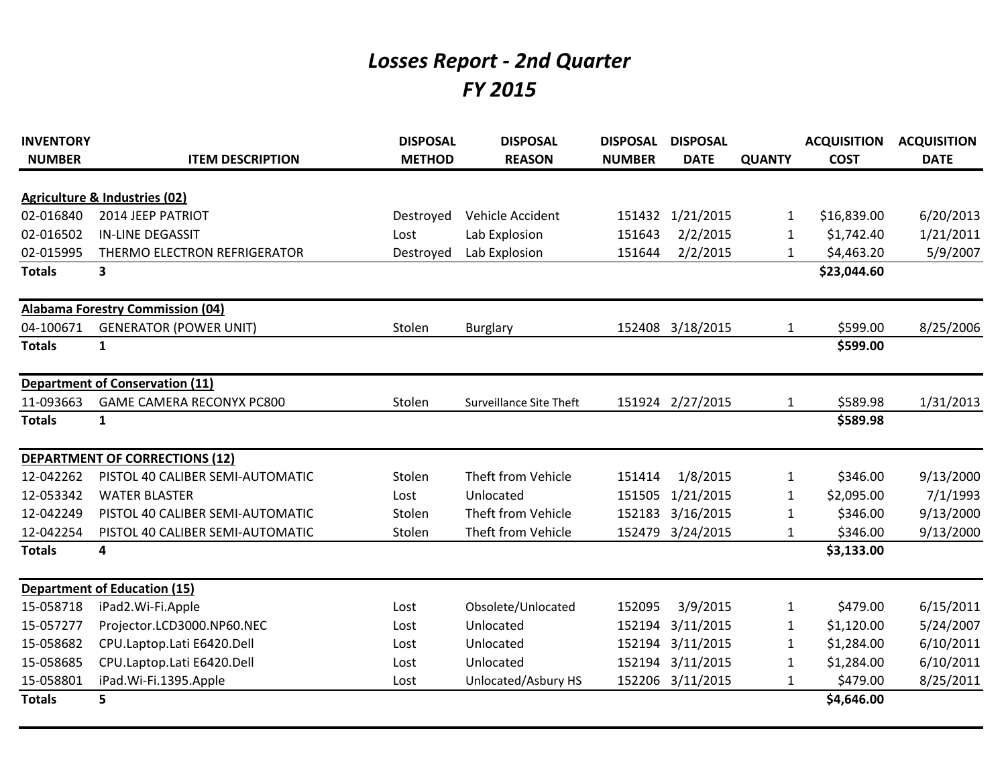## *Losses Report - 2nd Quarter FY 2015*

| <b>INVENTORY</b> |                                          | <b>DISPOSAL</b> | <b>DISPOSAL</b>                | <b>DISPOSAL</b> | <b>DISPOSAL</b>  |               | <b>ACQUISITION</b> | <b>ACQUISITION</b> |
|------------------|------------------------------------------|-----------------|--------------------------------|-----------------|------------------|---------------|--------------------|--------------------|
| <b>NUMBER</b>    | <b>ITEM DESCRIPTION</b>                  | <b>METHOD</b>   | <b>REASON</b>                  | <b>NUMBER</b>   | <b>DATE</b>      | <b>QUANTY</b> | <b>COST</b>        | <b>DATE</b>        |
|                  | <b>Agriculture &amp; Industries (02)</b> |                 |                                |                 |                  |               |                    |                    |
| 02-016840        | 2014 JEEP PATRIOT                        | Destroyed       | Vehicle Accident               | 151432          | 1/21/2015        | 1             | \$16,839.00        | 6/20/2013          |
| 02-016502        | <b>IN-LINE DEGASSIT</b>                  | Lost            | Lab Explosion                  | 151643          | 2/2/2015         | 1             | \$1,742.40         | 1/21/2011          |
| 02-015995        | THERMO ELECTRON REFRIGERATOR             | Destroyed       | Lab Explosion                  | 151644          | 2/2/2015         | $\mathbf{1}$  | \$4,463.20         | 5/9/2007           |
| <b>Totals</b>    | 3                                        |                 |                                |                 |                  |               | \$23,044.60        |                    |
|                  | <b>Alabama Forestry Commission (04)</b>  |                 |                                |                 |                  |               |                    |                    |
| 04-100671        | <b>GENERATOR (POWER UNIT)</b>            | Stolen          | <b>Burglary</b>                |                 | 152408 3/18/2015 | 1             | \$599.00           | 8/25/2006          |
| <b>Totals</b>    | $\mathbf{1}$                             |                 |                                |                 |                  |               | \$599.00           |                    |
|                  | <b>Department of Conservation (11)</b>   |                 |                                |                 |                  |               |                    |                    |
| 11-093663        | <b>GAME CAMERA RECONYX PC800</b>         | Stolen          | <b>Surveillance Site Theft</b> |                 | 151924 2/27/2015 | 1             | \$589.98           | 1/31/2013          |
| <b>Totals</b>    | $\mathbf{1}$                             |                 |                                |                 |                  |               | \$589.98           |                    |
|                  | <b>DEPARTMENT OF CORRECTIONS (12)</b>    |                 |                                |                 |                  |               |                    |                    |
| 12-042262        | PISTOL 40 CALIBER SEMI-AUTOMATIC         | Stolen          | Theft from Vehicle             | 151414          | 1/8/2015         | $\mathbf{1}$  | \$346.00           | 9/13/2000          |
| 12-053342        | <b>WATER BLASTER</b>                     | Lost            | Unlocated                      | 151505          | 1/21/2015        | 1             | \$2,095.00         | 7/1/1993           |
| 12-042249        | PISTOL 40 CALIBER SEMI-AUTOMATIC         | Stolen          | Theft from Vehicle             | 152183          | 3/16/2015        | 1             | \$346.00           | 9/13/2000          |
| 12-042254        | PISTOL 40 CALIBER SEMI-AUTOMATIC         | Stolen          | Theft from Vehicle             | 152479          | 3/24/2015        | 1             | \$346.00           | 9/13/2000          |
| <b>Totals</b>    | 4                                        |                 |                                |                 |                  |               | \$3,133.00         |                    |
|                  | <b>Department of Education (15)</b>      |                 |                                |                 |                  |               |                    |                    |
| 15-058718        | iPad2.Wi-Fi.Apple                        | Lost            | Obsolete/Unlocated             | 152095          | 3/9/2015         | 1             | \$479.00           | 6/15/2011          |
| 15-057277        | Projector.LCD3000.NP60.NEC               | Lost            | Unlocated                      | 152194          | 3/11/2015        | 1             | \$1,120.00         | 5/24/2007          |
| 15-058682        | CPU.Laptop.Lati E6420.Dell               | Lost            | Unlocated                      | 152194          | 3/11/2015        | 1             | \$1,284.00         | 6/10/2011          |
| 15-058685        | CPU.Laptop.Lati E6420.Dell               | Lost            | Unlocated                      | 152194          | 3/11/2015        | 1             | \$1,284.00         | 6/10/2011          |
| 15-058801        | iPad.Wi-Fi.1395.Apple                    | Lost            | Unlocated/Asbury HS            | 152206          | 3/11/2015        | 1             | \$479.00           | 8/25/2011          |
| <b>Totals</b>    | 5                                        |                 |                                |                 |                  |               | \$4,646.00         |                    |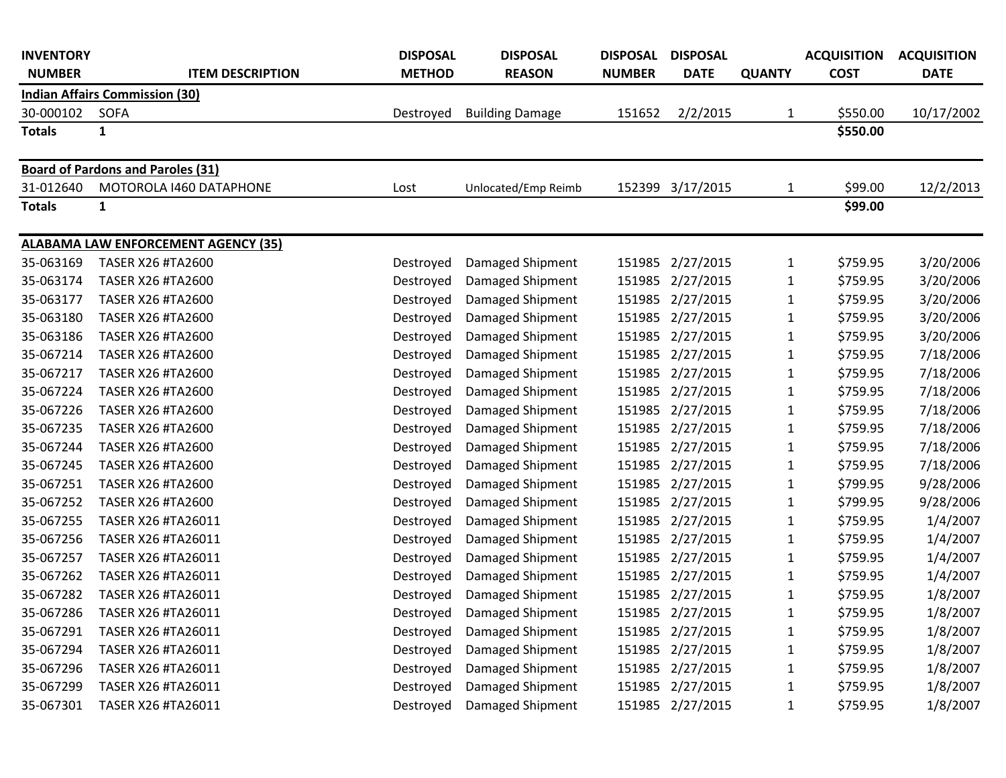| <b>INVENTORY</b> |                                            | <b>DISPOSAL</b> | <b>DISPOSAL</b>            | <b>DISPOSAL</b> | <b>DISPOSAL</b>  |               | <b>ACQUISITION</b> | <b>ACQUISITION</b> |
|------------------|--------------------------------------------|-----------------|----------------------------|-----------------|------------------|---------------|--------------------|--------------------|
| <b>NUMBER</b>    | <b>ITEM DESCRIPTION</b>                    | <b>METHOD</b>   | <b>REASON</b>              | <b>NUMBER</b>   | <b>DATE</b>      | <b>QUANTY</b> | <b>COST</b>        | <b>DATE</b>        |
|                  | <b>Indian Affairs Commission (30)</b>      |                 |                            |                 |                  |               |                    |                    |
| 30-000102        | <b>SOFA</b>                                | Destroyed       | <b>Building Damage</b>     | 151652          | 2/2/2015         | 1             | \$550.00           | 10/17/2002         |
| <b>Totals</b>    | $\mathbf{1}$                               |                 |                            |                 |                  |               | \$550.00           |                    |
|                  | <b>Board of Pardons and Paroles (31)</b>   |                 |                            |                 |                  |               |                    |                    |
| 31-012640        | MOTOROLA 1460 DATAPHONE                    | Lost            | Unlocated/Emp Reimb        | 152399          | 3/17/2015        | 1             | \$99.00            | 12/2/2013          |
| <b>Totals</b>    | 1                                          |                 |                            |                 |                  |               | \$99.00            |                    |
|                  | <b>ALABAMA LAW ENFORCEMENT AGENCY (35)</b> |                 |                            |                 |                  |               |                    |                    |
| 35-063169        | <b>TASER X26 #TA2600</b>                   | Destroyed       | Damaged Shipment           | 151985          | 2/27/2015        | 1             | \$759.95           | 3/20/2006          |
| 35-063174        | <b>TASER X26 #TA2600</b>                   | Destroyed       | Damaged Shipment           | 151985          | 2/27/2015        | $\mathbf{1}$  | \$759.95           | 3/20/2006          |
| 35-063177        | <b>TASER X26 #TA2600</b>                   | Destroyed       | Damaged Shipment           | 151985          | 2/27/2015        | 1             | \$759.95           | 3/20/2006          |
| 35-063180        | <b>TASER X26 #TA2600</b>                   | Destroyed       | Damaged Shipment           | 151985          | 2/27/2015        | $\mathbf 1$   | \$759.95           | 3/20/2006          |
| 35-063186        | <b>TASER X26 #TA2600</b>                   | Destroyed       | Damaged Shipment           | 151985          | 2/27/2015        | $\mathbf 1$   | \$759.95           | 3/20/2006          |
| 35-067214        | <b>TASER X26 #TA2600</b>                   | Destroyed       | Damaged Shipment           | 151985          | 2/27/2015        | 1             | \$759.95           | 7/18/2006          |
| 35-067217        | <b>TASER X26 #TA2600</b>                   | Destroyed       | Damaged Shipment           | 151985          | 2/27/2015        | 1             | \$759.95           | 7/18/2006          |
| 35-067224        | <b>TASER X26 #TA2600</b>                   | Destroyed       | Damaged Shipment           | 151985          | 2/27/2015        | $\mathbf{1}$  | \$759.95           | 7/18/2006          |
| 35-067226        | <b>TASER X26 #TA2600</b>                   | Destroyed       | Damaged Shipment           | 151985          | 2/27/2015        | 1             | \$759.95           | 7/18/2006          |
| 35-067235        | <b>TASER X26 #TA2600</b>                   | Destroyed       | Damaged Shipment           | 151985          | 2/27/2015        | 1             | \$759.95           | 7/18/2006          |
| 35-067244        | <b>TASER X26 #TA2600</b>                   | Destroyed       | Damaged Shipment           | 151985          | 2/27/2015        | 1             | \$759.95           | 7/18/2006          |
| 35-067245        | <b>TASER X26 #TA2600</b>                   | Destroyed       | Damaged Shipment           | 151985          | 2/27/2015        | $\mathbf{1}$  | \$759.95           | 7/18/2006          |
| 35-067251        | <b>TASER X26 #TA2600</b>                   | Destroyed       | Damaged Shipment           | 151985          | 2/27/2015        | 1             | \$799.95           | 9/28/2006          |
| 35-067252        | <b>TASER X26 #TA2600</b>                   | Destroyed       | Damaged Shipment           | 151985          | 2/27/2015        | $\mathbf{1}$  | \$799.95           | 9/28/2006          |
| 35-067255        | TASER X26 #TA26011                         | Destroyed       | Damaged Shipment           | 151985          | 2/27/2015        | 1             | \$759.95           | 1/4/2007           |
| 35-067256        | TASER X26 #TA26011                         | Destroyed       | Damaged Shipment           | 151985          | 2/27/2015        | 1             | \$759.95           | 1/4/2007           |
| 35-067257        | TASER X26 #TA26011                         | Destroyed       | Damaged Shipment           | 151985          | 2/27/2015        | 1             | \$759.95           | 1/4/2007           |
| 35-067262        | TASER X26 #TA26011                         | Destroyed       | Damaged Shipment           | 151985          | 2/27/2015        | 1             | \$759.95           | 1/4/2007           |
| 35-067282        | TASER X26 #TA26011                         | Destroyed       | Damaged Shipment           |                 | 151985 2/27/2015 | 1             | \$759.95           | 1/8/2007           |
| 35-067286        | TASER X26 #TA26011                         |                 | Destroyed Damaged Shipment |                 | 151985 2/27/2015 | 1             | \$759.95           | 1/8/2007           |
| 35-067291        | TASER X26 #TA26011                         | Destroyed       | Damaged Shipment           |                 | 151985 2/27/2015 | 1             | \$759.95           | 1/8/2007           |
| 35-067294        | TASER X26 #TA26011                         | Destroyed       | Damaged Shipment           |                 | 151985 2/27/2015 | 1             | \$759.95           | 1/8/2007           |
| 35-067296        | TASER X26 #TA26011                         | Destroyed       | Damaged Shipment           |                 | 151985 2/27/2015 | $\mathbf{1}$  | \$759.95           | 1/8/2007           |
| 35-067299        | TASER X26 #TA26011                         | Destroyed       | Damaged Shipment           |                 | 151985 2/27/2015 | $\mathbf{1}$  | \$759.95           | 1/8/2007           |
| 35-067301        | TASER X26 #TA26011                         | Destroyed       | Damaged Shipment           |                 | 151985 2/27/2015 | $\mathbf{1}$  | \$759.95           | 1/8/2007           |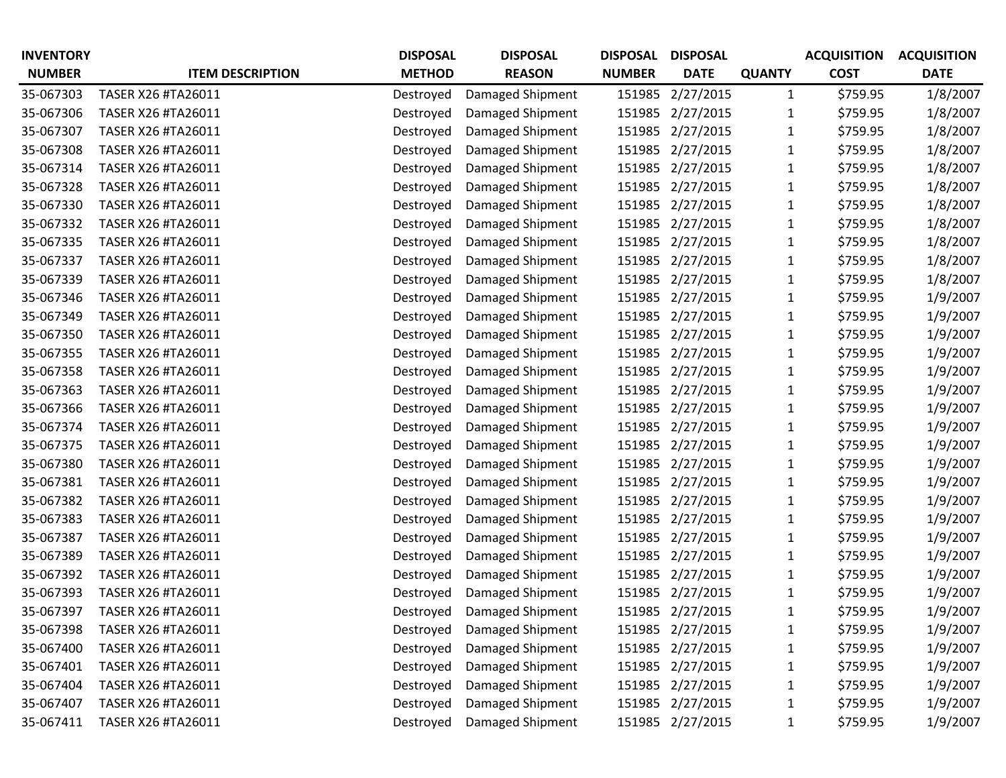| <b>INVENTORY</b> |                           | <b>DISPOSAL</b> | <b>DISPOSAL</b>  | <b>DISPOSAL</b> | <b>DISPOSAL</b>  |               | <b>ACQUISITION</b> | <b>ACQUISITION</b> |
|------------------|---------------------------|-----------------|------------------|-----------------|------------------|---------------|--------------------|--------------------|
| <b>NUMBER</b>    | <b>ITEM DESCRIPTION</b>   | <b>METHOD</b>   | <b>REASON</b>    | <b>NUMBER</b>   | <b>DATE</b>      | <b>QUANTY</b> | <b>COST</b>        | <b>DATE</b>        |
| 35-067303        | <b>TASER X26 #TA26011</b> | Destroyed       | Damaged Shipment | 151985          | 2/27/2015        | $\mathbf{1}$  | \$759.95           | 1/8/2007           |
| 35-067306        | TASER X26 #TA26011        | Destroyed       | Damaged Shipment | 151985          | 2/27/2015        | 1             | \$759.95           | 1/8/2007           |
| 35-067307        | TASER X26 #TA26011        | Destroyed       | Damaged Shipment | 151985          | 2/27/2015        | 1             | \$759.95           | 1/8/2007           |
| 35-067308        | TASER X26 #TA26011        | Destroyed       | Damaged Shipment | 151985          | 2/27/2015        | 1             | \$759.95           | 1/8/2007           |
| 35-067314        | TASER X26 #TA26011        | Destroyed       | Damaged Shipment | 151985          | 2/27/2015        | 1             | \$759.95           | 1/8/2007           |
| 35-067328        | TASER X26 #TA26011        | Destroyed       | Damaged Shipment | 151985          | 2/27/2015        |               | \$759.95           | 1/8/2007           |
| 35-067330        | TASER X26 #TA26011        | Destroyed       | Damaged Shipment | 151985          | 2/27/2015        | 1             | \$759.95           | 1/8/2007           |
| 35-067332        | TASER X26 #TA26011        | Destroyed       | Damaged Shipment | 151985          | 2/27/2015        | 1             | \$759.95           | 1/8/2007           |
| 35-067335        | TASER X26 #TA26011        | Destroyed       | Damaged Shipment | 151985          | 2/27/2015        | 1             | \$759.95           | 1/8/2007           |
| 35-067337        | TASER X26 #TA26011        | Destroyed       | Damaged Shipment | 151985          | 2/27/2015        | 1             | \$759.95           | 1/8/2007           |
| 35-067339        | TASER X26 #TA26011        | Destroyed       | Damaged Shipment | 151985          | 2/27/2015        | 1             | \$759.95           | 1/8/2007           |
| 35-067346        | TASER X26 #TA26011        | Destroyed       | Damaged Shipment | 151985          | 2/27/2015        | 1             | \$759.95           | 1/9/2007           |
| 35-067349        | TASER X26 #TA26011        | Destroyed       | Damaged Shipment | 151985          | 2/27/2015        | 1             | \$759.95           | 1/9/2007           |
| 35-067350        | TASER X26 #TA26011        | Destroyed       | Damaged Shipment | 151985          | 2/27/2015        | 1             | \$759.95           | 1/9/2007           |
| 35-067355        | TASER X26 #TA26011        | Destroyed       | Damaged Shipment | 151985          | 2/27/2015        | 1             | \$759.95           | 1/9/2007           |
| 35-067358        | TASER X26 #TA26011        | Destroyed       | Damaged Shipment | 151985          | 2/27/2015        | 1             | \$759.95           | 1/9/2007           |
| 35-067363        | TASER X26 #TA26011        | Destroyed       | Damaged Shipment | 151985          | 2/27/2015        | 1             | \$759.95           | 1/9/2007           |
| 35-067366        | TASER X26 #TA26011        | Destroyed       | Damaged Shipment | 151985          | 2/27/2015        |               | \$759.95           | 1/9/2007           |
| 35-067374        | TASER X26 #TA26011        | Destroyed       | Damaged Shipment | 151985          | 2/27/2015        | 1             | \$759.95           | 1/9/2007           |
| 35-067375        | TASER X26 #TA26011        | Destroyed       | Damaged Shipment | 151985          | 2/27/2015        | 1             | \$759.95           | 1/9/2007           |
| 35-067380        | TASER X26 #TA26011        | Destroyed       | Damaged Shipment | 151985          | 2/27/2015        | 1             | \$759.95           | 1/9/2007           |
| 35-067381        | TASER X26 #TA26011        | Destroyed       | Damaged Shipment | 151985          | 2/27/2015        | 1             | \$759.95           | 1/9/2007           |
| 35-067382        | TASER X26 #TA26011        | Destroyed       | Damaged Shipment | 151985          | 2/27/2015        | 1             | \$759.95           | 1/9/2007           |
| 35-067383        | TASER X26 #TA26011        | Destroyed       | Damaged Shipment | 151985          | 2/27/2015        | 1             | \$759.95           | 1/9/2007           |
| 35-067387        | TASER X26 #TA26011        | Destroyed       | Damaged Shipment | 151985          | 2/27/2015        |               | \$759.95           | 1/9/2007           |
| 35-067389        | TASER X26 #TA26011        | Destroyed       | Damaged Shipment | 151985          | 2/27/2015        | 1             | \$759.95           | 1/9/2007           |
| 35-067392        | TASER X26 #TA26011        | Destroyed       | Damaged Shipment | 151985          | 2/27/2015        | 1             | \$759.95           | 1/9/2007           |
| 35-067393        | TASER X26 #TA26011        | Destroyed       | Damaged Shipment | 151985          | 2/27/2015        | 1             | \$759.95           | 1/9/2007           |
| 35-067397        | TASER X26 #TA26011        | Destroyed       | Damaged Shipment |                 | 151985 2/27/2015 |               | \$759.95           | 1/9/2007           |
| 35-067398        | TASER X26 #TA26011        | Destroyed       | Damaged Shipment |                 | 151985 2/27/2015 | 1             | \$759.95           | 1/9/2007           |
| 35-067400        | TASER X26 #TA26011        | Destroyed       | Damaged Shipment |                 | 151985 2/27/2015 | 1             | \$759.95           | 1/9/2007           |
| 35-067401        | TASER X26 #TA26011        | Destroyed       | Damaged Shipment |                 | 151985 2/27/2015 | 1             | \$759.95           | 1/9/2007           |
| 35-067404        | TASER X26 #TA26011        | Destroyed       | Damaged Shipment |                 | 151985 2/27/2015 | 1             | \$759.95           | 1/9/2007           |
| 35-067407        | TASER X26 #TA26011        | Destroyed       | Damaged Shipment |                 | 151985 2/27/2015 | 1             | \$759.95           | 1/9/2007           |
| 35-067411        | TASER X26 #TA26011        | Destroyed       | Damaged Shipment |                 | 151985 2/27/2015 | $\mathbf{1}$  | \$759.95           | 1/9/2007           |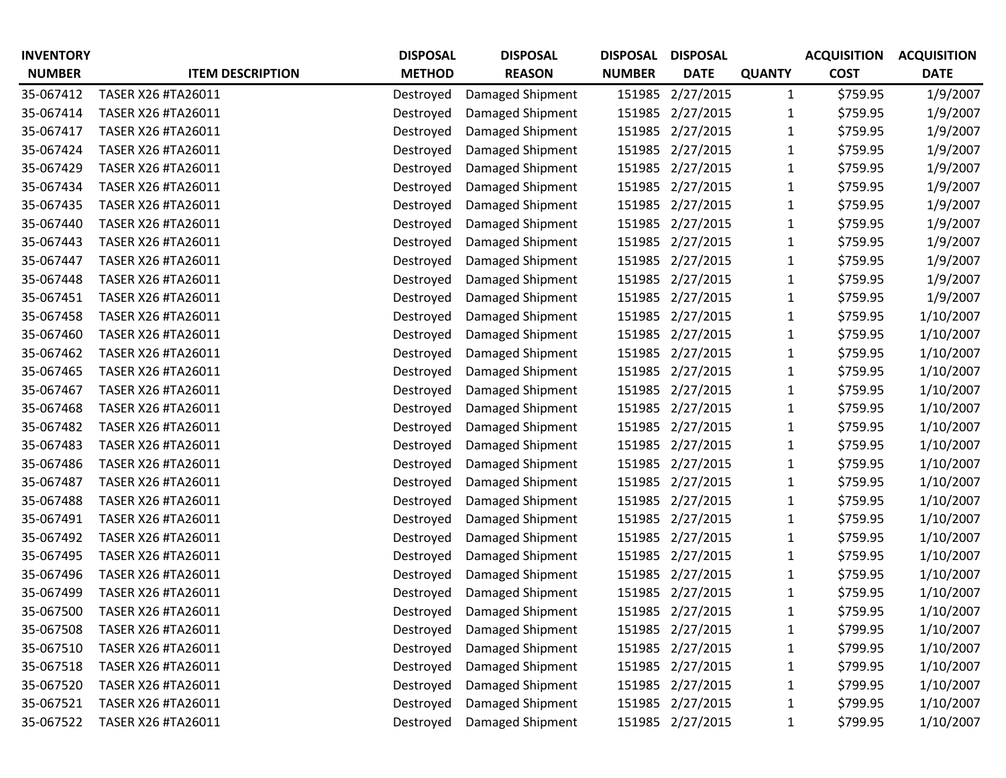| <b>INVENTORY</b> |                         | <b>DISPOSAL</b> | <b>DISPOSAL</b>  | <b>DISPOSAL</b> | <b>DISPOSAL</b>  |               | <b>ACQUISITION</b> | <b>ACQUISITION</b> |
|------------------|-------------------------|-----------------|------------------|-----------------|------------------|---------------|--------------------|--------------------|
| <b>NUMBER</b>    | <b>ITEM DESCRIPTION</b> | <b>METHOD</b>   | <b>REASON</b>    | <b>NUMBER</b>   | <b>DATE</b>      | <b>QUANTY</b> | <b>COST</b>        | <b>DATE</b>        |
| 35-067412        | TASER X26 #TA26011      | Destroyed       | Damaged Shipment | 151985          | 2/27/2015        | $\mathbf{1}$  | \$759.95           | 1/9/2007           |
| 35-067414        | TASER X26 #TA26011      | Destroyed       | Damaged Shipment | 151985          | 2/27/2015        | 1             | \$759.95           | 1/9/2007           |
| 35-067417        | TASER X26 #TA26011      | Destroyed       | Damaged Shipment | 151985          | 2/27/2015        | 1             | \$759.95           | 1/9/2007           |
| 35-067424        | TASER X26 #TA26011      | Destroyed       | Damaged Shipment | 151985          | 2/27/2015        | 1             | \$759.95           | 1/9/2007           |
| 35-067429        | TASER X26 #TA26011      | Destroyed       | Damaged Shipment | 151985          | 2/27/2015        | 1             | \$759.95           | 1/9/2007           |
| 35-067434        | TASER X26 #TA26011      | Destroyed       | Damaged Shipment | 151985          | 2/27/2015        |               | \$759.95           | 1/9/2007           |
| 35-067435        | TASER X26 #TA26011      | Destroyed       | Damaged Shipment | 151985          | 2/27/2015        | 1             | \$759.95           | 1/9/2007           |
| 35-067440        | TASER X26 #TA26011      | Destroyed       | Damaged Shipment | 151985          | 2/27/2015        | 1             | \$759.95           | 1/9/2007           |
| 35-067443        | TASER X26 #TA26011      | Destroyed       | Damaged Shipment | 151985          | 2/27/2015        | 1             | \$759.95           | 1/9/2007           |
| 35-067447        | TASER X26 #TA26011      | Destroyed       | Damaged Shipment | 151985          | 2/27/2015        | 1             | \$759.95           | 1/9/2007           |
| 35-067448        | TASER X26 #TA26011      | Destroyed       | Damaged Shipment | 151985          | 2/27/2015        | 1             | \$759.95           | 1/9/2007           |
| 35-067451        | TASER X26 #TA26011      | Destroyed       | Damaged Shipment | 151985          | 2/27/2015        |               | \$759.95           | 1/9/2007           |
| 35-067458        | TASER X26 #TA26011      | Destroyed       | Damaged Shipment | 151985          | 2/27/2015        | 1             | \$759.95           | 1/10/2007          |
| 35-067460        | TASER X26 #TA26011      | Destroyed       | Damaged Shipment | 151985          | 2/27/2015        | 1             | \$759.95           | 1/10/2007          |
| 35-067462        | TASER X26 #TA26011      | Destroyed       | Damaged Shipment | 151985          | 2/27/2015        | 1             | \$759.95           | 1/10/2007          |
| 35-067465        | TASER X26 #TA26011      | Destroyed       | Damaged Shipment | 151985          | 2/27/2015        | 1             | \$759.95           | 1/10/2007          |
| 35-067467        | TASER X26 #TA26011      | Destroyed       | Damaged Shipment | 151985          | 2/27/2015        | 1             | \$759.95           | 1/10/2007          |
| 35-067468        | TASER X26 #TA26011      | Destroyed       | Damaged Shipment | 151985          | 2/27/2015        | 1             | \$759.95           | 1/10/2007          |
| 35-067482        | TASER X26 #TA26011      | Destroyed       | Damaged Shipment | 151985          | 2/27/2015        | 1             | \$759.95           | 1/10/2007          |
| 35-067483        | TASER X26 #TA26011      | Destroyed       | Damaged Shipment | 151985          | 2/27/2015        | 1             | \$759.95           | 1/10/2007          |
| 35-067486        | TASER X26 #TA26011      | Destroyed       | Damaged Shipment | 151985          | 2/27/2015        | 1             | \$759.95           | 1/10/2007          |
| 35-067487        | TASER X26 #TA26011      | Destroyed       | Damaged Shipment | 151985          | 2/27/2015        | 1             | \$759.95           | 1/10/2007          |
| 35-067488        | TASER X26 #TA26011      | Destroyed       | Damaged Shipment | 151985          | 2/27/2015        | 1             | \$759.95           | 1/10/2007          |
| 35-067491        | TASER X26 #TA26011      | Destroyed       | Damaged Shipment | 151985          | 2/27/2015        | 1             | \$759.95           | 1/10/2007          |
| 35-067492        | TASER X26 #TA26011      | Destroyed       | Damaged Shipment | 151985          | 2/27/2015        |               | \$759.95           | 1/10/2007          |
| 35-067495        | TASER X26 #TA26011      | Destroyed       | Damaged Shipment | 151985          | 2/27/2015        | 1             | \$759.95           | 1/10/2007          |
| 35-067496        | TASER X26 #TA26011      | Destroyed       | Damaged Shipment | 151985          | 2/27/2015        | 1             | \$759.95           | 1/10/2007          |
| 35-067499        | TASER X26 #TA26011      | Destroyed       | Damaged Shipment | 151985          | 2/27/2015        | 1             | \$759.95           | 1/10/2007          |
| 35-067500        | TASER X26 #TA26011      | Destroyed       | Damaged Shipment | 151985          | 2/27/2015        |               | \$759.95           | 1/10/2007          |
| 35-067508        | TASER X26 #TA26011      | Destroyed       | Damaged Shipment |                 | 151985 2/27/2015 | 1             | \$799.95           | 1/10/2007          |
| 35-067510        | TASER X26 #TA26011      | Destroyed       | Damaged Shipment |                 | 151985 2/27/2015 | 1             | \$799.95           | 1/10/2007          |
| 35-067518        | TASER X26 #TA26011      | Destroyed       | Damaged Shipment |                 | 151985 2/27/2015 | 1             | \$799.95           | 1/10/2007          |
| 35-067520        | TASER X26 #TA26011      | Destroyed       | Damaged Shipment |                 | 151985 2/27/2015 | 1             | \$799.95           | 1/10/2007          |
| 35-067521        | TASER X26 #TA26011      | Destroyed       | Damaged Shipment |                 | 151985 2/27/2015 | $\mathbf{1}$  | \$799.95           | 1/10/2007          |
| 35-067522        | TASER X26 #TA26011      | Destroyed       | Damaged Shipment |                 | 151985 2/27/2015 | $\mathbf{1}$  | \$799.95           | 1/10/2007          |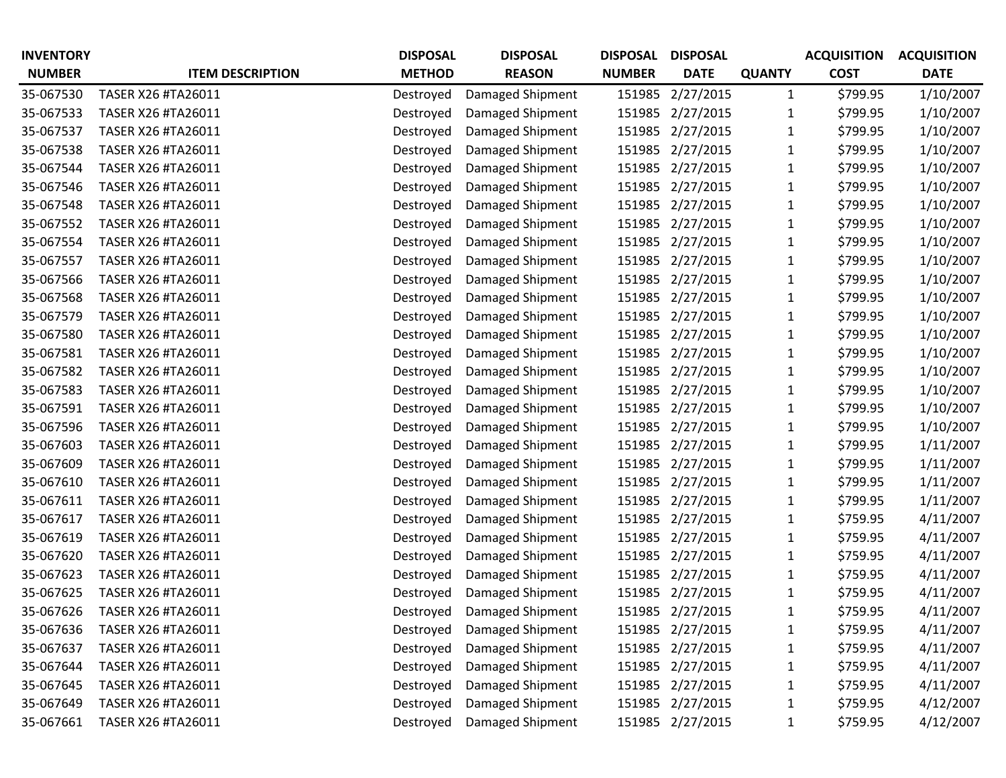| <b>INVENTORY</b> |                         | <b>DISPOSAL</b> | <b>DISPOSAL</b>  | <b>DISPOSAL</b> | <b>DISPOSAL</b>  |               | <b>ACQUISITION</b> | <b>ACQUISITION</b> |
|------------------|-------------------------|-----------------|------------------|-----------------|------------------|---------------|--------------------|--------------------|
| <b>NUMBER</b>    | <b>ITEM DESCRIPTION</b> | <b>METHOD</b>   | <b>REASON</b>    | <b>NUMBER</b>   | <b>DATE</b>      | <b>QUANTY</b> | <b>COST</b>        | <b>DATE</b>        |
| 35-067530        | TASER X26 #TA26011      | Destroyed       | Damaged Shipment | 151985          | 2/27/2015        | $\mathbf{1}$  | \$799.95           | 1/10/2007          |
| 35-067533        | TASER X26 #TA26011      | Destroyed       | Damaged Shipment | 151985          | 2/27/2015        | 1             | \$799.95           | 1/10/2007          |
| 35-067537        | TASER X26 #TA26011      | Destroyed       | Damaged Shipment | 151985          | 2/27/2015        | 1             | \$799.95           | 1/10/2007          |
| 35-067538        | TASER X26 #TA26011      | Destroyed       | Damaged Shipment | 151985          | 2/27/2015        | 1             | \$799.95           | 1/10/2007          |
| 35-067544        | TASER X26 #TA26011      | Destroyed       | Damaged Shipment | 151985          | 2/27/2015        | 1             | \$799.95           | 1/10/2007          |
| 35-067546        | TASER X26 #TA26011      | Destroyed       | Damaged Shipment | 151985          | 2/27/2015        |               | \$799.95           | 1/10/2007          |
| 35-067548        | TASER X26 #TA26011      | Destroyed       | Damaged Shipment | 151985          | 2/27/2015        | 1             | \$799.95           | 1/10/2007          |
| 35-067552        | TASER X26 #TA26011      | Destroyed       | Damaged Shipment | 151985          | 2/27/2015        | 1             | \$799.95           | 1/10/2007          |
| 35-067554        | TASER X26 #TA26011      | Destroyed       | Damaged Shipment | 151985          | 2/27/2015        | 1             | \$799.95           | 1/10/2007          |
| 35-067557        | TASER X26 #TA26011      | Destroyed       | Damaged Shipment | 151985          | 2/27/2015        | 1             | \$799.95           | 1/10/2007          |
| 35-067566        | TASER X26 #TA26011      | Destroyed       | Damaged Shipment | 151985          | 2/27/2015        | 1             | \$799.95           | 1/10/2007          |
| 35-067568        | TASER X26 #TA26011      | Destroyed       | Damaged Shipment | 151985          | 2/27/2015        |               | \$799.95           | 1/10/2007          |
| 35-067579        | TASER X26 #TA26011      | Destroyed       | Damaged Shipment | 151985          | 2/27/2015        | 1             | \$799.95           | 1/10/2007          |
| 35-067580        | TASER X26 #TA26011      | Destroyed       | Damaged Shipment | 151985          | 2/27/2015        | 1             | \$799.95           | 1/10/2007          |
| 35-067581        | TASER X26 #TA26011      | Destroyed       | Damaged Shipment | 151985          | 2/27/2015        | 1             | \$799.95           | 1/10/2007          |
| 35-067582        | TASER X26 #TA26011      | Destroyed       | Damaged Shipment | 151985          | 2/27/2015        | 1             | \$799.95           | 1/10/2007          |
| 35-067583        | TASER X26 #TA26011      | Destroyed       | Damaged Shipment | 151985          | 2/27/2015        | 1             | \$799.95           | 1/10/2007          |
| 35-067591        | TASER X26 #TA26011      | Destroyed       | Damaged Shipment | 151985          | 2/27/2015        | 1             | \$799.95           | 1/10/2007          |
| 35-067596        | TASER X26 #TA26011      | Destroyed       | Damaged Shipment | 151985          | 2/27/2015        | 1             | \$799.95           | 1/10/2007          |
| 35-067603        | TASER X26 #TA26011      | Destroyed       | Damaged Shipment | 151985          | 2/27/2015        | 1             | \$799.95           | 1/11/2007          |
| 35-067609        | TASER X26 #TA26011      | Destroyed       | Damaged Shipment | 151985          | 2/27/2015        | 1             | \$799.95           | 1/11/2007          |
| 35-067610        | TASER X26 #TA26011      | Destroyed       | Damaged Shipment | 151985          | 2/27/2015        | 1             | \$799.95           | 1/11/2007          |
| 35-067611        | TASER X26 #TA26011      | Destroyed       | Damaged Shipment | 151985          | 2/27/2015        | 1             | \$799.95           | 1/11/2007          |
| 35-067617        | TASER X26 #TA26011      | Destroyed       | Damaged Shipment | 151985          | 2/27/2015        | 1             | \$759.95           | 4/11/2007          |
| 35-067619        | TASER X26 #TA26011      | Destroyed       | Damaged Shipment | 151985          | 2/27/2015        |               | \$759.95           | 4/11/2007          |
| 35-067620        | TASER X26 #TA26011      | Destroyed       | Damaged Shipment | 151985          | 2/27/2015        | 1             | \$759.95           | 4/11/2007          |
| 35-067623        | TASER X26 #TA26011      | Destroyed       | Damaged Shipment | 151985          | 2/27/2015        | 1             | \$759.95           | 4/11/2007          |
| 35-067625        | TASER X26 #TA26011      | Destroyed       | Damaged Shipment | 151985          | 2/27/2015        | 1             | \$759.95           | 4/11/2007          |
| 35-067626        | TASER X26 #TA26011      | Destroyed       | Damaged Shipment |                 | 151985 2/27/2015 |               | \$759.95           | 4/11/2007          |
| 35-067636        | TASER X26 #TA26011      | Destroyed       | Damaged Shipment |                 | 151985 2/27/2015 | 1             | \$759.95           | 4/11/2007          |
| 35-067637        | TASER X26 #TA26011      | Destroyed       | Damaged Shipment |                 | 151985 2/27/2015 | 1             | \$759.95           | 4/11/2007          |
| 35-067644        | TASER X26 #TA26011      | Destroyed       | Damaged Shipment |                 | 151985 2/27/2015 | 1             | \$759.95           | 4/11/2007          |
| 35-067645        | TASER X26 #TA26011      | Destroyed       | Damaged Shipment |                 | 151985 2/27/2015 | 1             | \$759.95           | 4/11/2007          |
| 35-067649        | TASER X26 #TA26011      | Destroyed       | Damaged Shipment |                 | 151985 2/27/2015 | $\mathbf{1}$  | \$759.95           | 4/12/2007          |
| 35-067661        | TASER X26 #TA26011      | Destroyed       | Damaged Shipment |                 | 151985 2/27/2015 | $\mathbf{1}$  | \$759.95           | 4/12/2007          |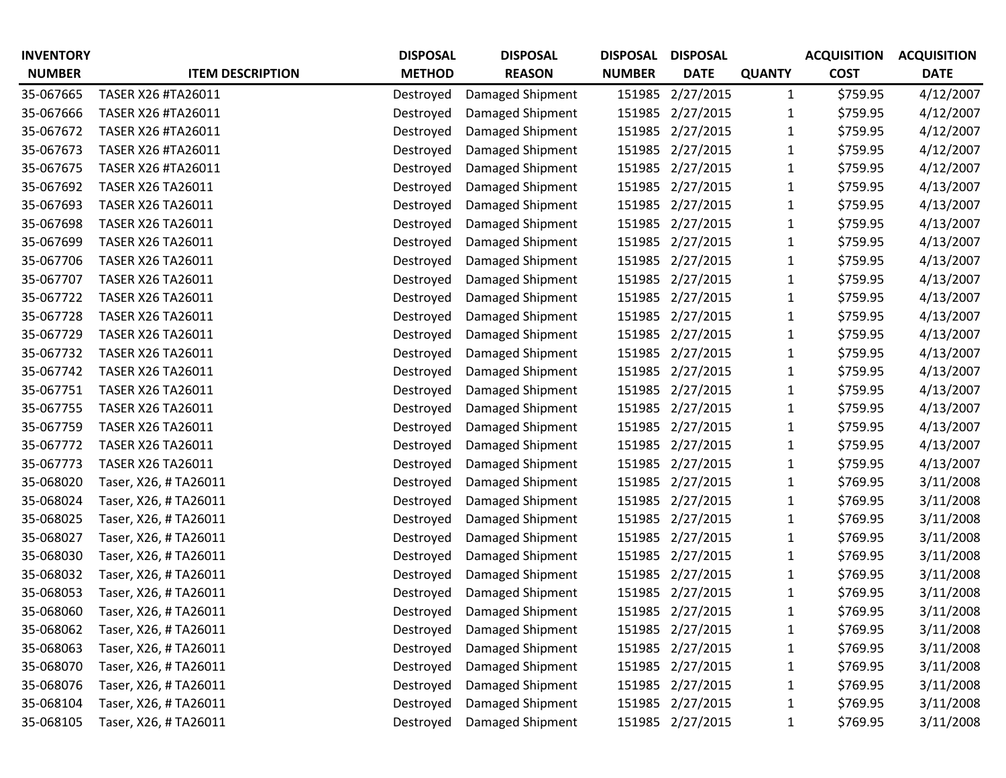| <b>INVENTORY</b> |                          | <b>DISPOSAL</b> | <b>DISPOSAL</b>  | <b>DISPOSAL</b> | <b>DISPOSAL</b>  |               | <b>ACQUISITION</b> | <b>ACQUISITION</b> |
|------------------|--------------------------|-----------------|------------------|-----------------|------------------|---------------|--------------------|--------------------|
| <b>NUMBER</b>    | <b>ITEM DESCRIPTION</b>  | <b>METHOD</b>   | <b>REASON</b>    | <b>NUMBER</b>   | <b>DATE</b>      | <b>QUANTY</b> | <b>COST</b>        | <b>DATE</b>        |
| 35-067665        | TASER X26 #TA26011       | Destroyed       | Damaged Shipment | 151985          | 2/27/2015        | $\mathbf{1}$  | \$759.95           | 4/12/2007          |
| 35-067666        | TASER X26 #TA26011       | Destroyed       | Damaged Shipment | 151985          | 2/27/2015        | 1             | \$759.95           | 4/12/2007          |
| 35-067672        | TASER X26 #TA26011       | Destroyed       | Damaged Shipment | 151985          | 2/27/2015        | 1             | \$759.95           | 4/12/2007          |
| 35-067673        | TASER X26 #TA26011       | Destroyed       | Damaged Shipment | 151985          | 2/27/2015        | 1             | \$759.95           | 4/12/2007          |
| 35-067675        | TASER X26 #TA26011       | Destroyed       | Damaged Shipment | 151985          | 2/27/2015        | 1             | \$759.95           | 4/12/2007          |
| 35-067692        | TASER X26 TA26011        | Destroyed       | Damaged Shipment | 151985          | 2/27/2015        |               | \$759.95           | 4/13/2007          |
| 35-067693        | <b>TASER X26 TA26011</b> | Destroyed       | Damaged Shipment | 151985          | 2/27/2015        | 1             | \$759.95           | 4/13/2007          |
| 35-067698        | TASER X26 TA26011        | Destroyed       | Damaged Shipment | 151985          | 2/27/2015        | 1             | \$759.95           | 4/13/2007          |
| 35-067699        | <b>TASER X26 TA26011</b> | Destroyed       | Damaged Shipment | 151985          | 2/27/2015        | 1             | \$759.95           | 4/13/2007          |
| 35-067706        | <b>TASER X26 TA26011</b> | Destroyed       | Damaged Shipment | 151985          | 2/27/2015        | 1             | \$759.95           | 4/13/2007          |
| 35-067707        | TASER X26 TA26011        | Destroyed       | Damaged Shipment | 151985          | 2/27/2015        | 1             | \$759.95           | 4/13/2007          |
| 35-067722        | TASER X26 TA26011        | Destroyed       | Damaged Shipment | 151985          | 2/27/2015        |               | \$759.95           | 4/13/2007          |
| 35-067728        | TASER X26 TA26011        | Destroyed       | Damaged Shipment | 151985          | 2/27/2015        | 1             | \$759.95           | 4/13/2007          |
| 35-067729        | TASER X26 TA26011        | Destroyed       | Damaged Shipment | 151985          | 2/27/2015        | 1             | \$759.95           | 4/13/2007          |
| 35-067732        | TASER X26 TA26011        | Destroyed       | Damaged Shipment | 151985          | 2/27/2015        | 1             | \$759.95           | 4/13/2007          |
| 35-067742        | <b>TASER X26 TA26011</b> | Destroyed       | Damaged Shipment | 151985          | 2/27/2015        | 1             | \$759.95           | 4/13/2007          |
| 35-067751        | <b>TASER X26 TA26011</b> | Destroyed       | Damaged Shipment | 151985          | 2/27/2015        | 1             | \$759.95           | 4/13/2007          |
| 35-067755        | TASER X26 TA26011        | Destroyed       | Damaged Shipment | 151985          | 2/27/2015        | 1             | \$759.95           | 4/13/2007          |
| 35-067759        | <b>TASER X26 TA26011</b> | Destroyed       | Damaged Shipment | 151985          | 2/27/2015        | 1             | \$759.95           | 4/13/2007          |
| 35-067772        | TASER X26 TA26011        | Destroyed       | Damaged Shipment | 151985          | 2/27/2015        | 1             | \$759.95           | 4/13/2007          |
| 35-067773        | TASER X26 TA26011        | Destroyed       | Damaged Shipment | 151985          | 2/27/2015        | 1             | \$759.95           | 4/13/2007          |
| 35-068020        | Taser, X26, #TA26011     | Destroyed       | Damaged Shipment | 151985          | 2/27/2015        | 1             | \$769.95           | 3/11/2008          |
| 35-068024        | Taser, X26, #TA26011     | Destroyed       | Damaged Shipment | 151985          | 2/27/2015        | 1             | \$769.95           | 3/11/2008          |
| 35-068025        | Taser, X26, #TA26011     | Destroyed       | Damaged Shipment | 151985          | 2/27/2015        | 1             | \$769.95           | 3/11/2008          |
| 35-068027        | Taser, X26, #TA26011     | Destroyed       | Damaged Shipment | 151985          | 2/27/2015        |               | \$769.95           | 3/11/2008          |
| 35-068030        | Taser, X26, #TA26011     | Destroyed       | Damaged Shipment | 151985          | 2/27/2015        | 1             | \$769.95           | 3/11/2008          |
| 35-068032        | Taser, X26, #TA26011     | Destroyed       | Damaged Shipment | 151985          | 2/27/2015        | 1             | \$769.95           | 3/11/2008          |
| 35-068053        | Taser, X26, #TA26011     | Destroyed       | Damaged Shipment | 151985          | 2/27/2015        | 1             | \$769.95           | 3/11/2008          |
| 35-068060        | Taser, X26, #TA26011     | Destroyed       | Damaged Shipment |                 | 151985 2/27/2015 |               | \$769.95           | 3/11/2008          |
| 35-068062        | Taser, X26, #TA26011     | Destroyed       | Damaged Shipment |                 | 151985 2/27/2015 | 1             | \$769.95           | 3/11/2008          |
| 35-068063        | Taser, X26, #TA26011     | Destroyed       | Damaged Shipment |                 | 151985 2/27/2015 | 1             | \$769.95           | 3/11/2008          |
| 35-068070        | Taser, X26, #TA26011     | Destroyed       | Damaged Shipment | 151985          | 2/27/2015        | 1             | \$769.95           | 3/11/2008          |
| 35-068076        | Taser, X26, #TA26011     | Destroyed       | Damaged Shipment | 151985          | 2/27/2015        | 1             | \$769.95           | 3/11/2008          |
| 35-068104        | Taser, X26, #TA26011     | Destroyed       | Damaged Shipment | 151985          | 2/27/2015        | $\mathbf{1}$  | \$769.95           | 3/11/2008          |
| 35-068105        | Taser, X26, #TA26011     | Destroyed       | Damaged Shipment |                 | 151985 2/27/2015 | $\mathbf{1}$  | \$769.95           | 3/11/2008          |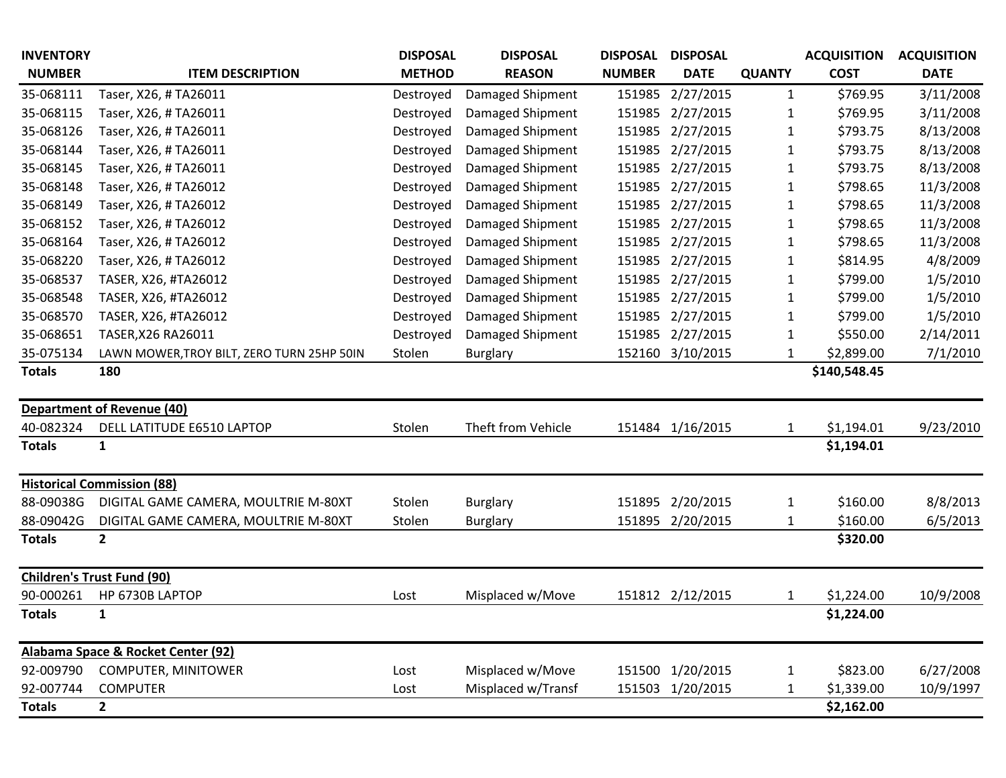| <b>INVENTORY</b> |                                            | <b>DISPOSAL</b> | <b>DISPOSAL</b>    | <b>DISPOSAL</b> | <b>DISPOSAL</b>  |               | <b>ACQUISITION</b> | <b>ACQUISITION</b> |
|------------------|--------------------------------------------|-----------------|--------------------|-----------------|------------------|---------------|--------------------|--------------------|
| <b>NUMBER</b>    | <b>ITEM DESCRIPTION</b>                    | <b>METHOD</b>   | <b>REASON</b>      | <b>NUMBER</b>   | <b>DATE</b>      | <b>QUANTY</b> | <b>COST</b>        | <b>DATE</b>        |
| 35-068111        | Taser, X26, #TA26011                       | Destroyed       | Damaged Shipment   | 151985          | 2/27/2015        | $\mathbf{1}$  | \$769.95           | 3/11/2008          |
| 35-068115        | Taser, X26, #TA26011                       | Destroyed       | Damaged Shipment   | 151985          | 2/27/2015        | 1             | \$769.95           | 3/11/2008          |
| 35-068126        | Taser, X26, #TA26011                       | Destroyed       | Damaged Shipment   | 151985          | 2/27/2015        | 1             | \$793.75           | 8/13/2008          |
| 35-068144        | Taser, X26, #TA26011                       | Destroyed       | Damaged Shipment   | 151985          | 2/27/2015        | 1             | \$793.75           | 8/13/2008          |
| 35-068145        | Taser, X26, #TA26011                       | Destroyed       | Damaged Shipment   | 151985          | 2/27/2015        | 1             | \$793.75           | 8/13/2008          |
| 35-068148        | Taser, X26, #TA26012                       | Destroyed       | Damaged Shipment   | 151985          | 2/27/2015        | 1             | \$798.65           | 11/3/2008          |
| 35-068149        | Taser, X26, #TA26012                       | Destroyed       | Damaged Shipment   | 151985          | 2/27/2015        | $\mathbf 1$   | \$798.65           | 11/3/2008          |
| 35-068152        | Taser, X26, #TA26012                       | Destroyed       | Damaged Shipment   | 151985          | 2/27/2015        | 1             | \$798.65           | 11/3/2008          |
| 35-068164        | Taser, X26, #TA26012                       | Destroyed       | Damaged Shipment   | 151985          | 2/27/2015        | 1             | \$798.65           | 11/3/2008          |
| 35-068220        | Taser, X26, #TA26012                       | Destroyed       | Damaged Shipment   | 151985          | 2/27/2015        | $\mathbf 1$   | \$814.95           | 4/8/2009           |
| 35-068537        | TASER, X26, #TA26012                       | Destroyed       | Damaged Shipment   | 151985          | 2/27/2015        | 1             | \$799.00           | 1/5/2010           |
| 35-068548        | TASER, X26, #TA26012                       | Destroyed       | Damaged Shipment   | 151985          | 2/27/2015        | $\mathbf 1$   | \$799.00           | 1/5/2010           |
| 35-068570        | TASER, X26, #TA26012                       | Destroyed       | Damaged Shipment   | 151985          | 2/27/2015        | 1             | \$799.00           | 1/5/2010           |
| 35-068651        | TASER, X26 RA26011                         | Destroyed       | Damaged Shipment   | 151985          | 2/27/2015        | 1             | \$550.00           | 2/14/2011          |
| 35-075134        | LAWN MOWER, TROY BILT, ZERO TURN 25HP 50IN | Stolen          | <b>Burglary</b>    | 152160          | 3/10/2015        | 1             | \$2,899.00         | 7/1/2010           |
| <b>Totals</b>    | 180                                        |                 |                    |                 |                  |               | \$140,548.45       |                    |
|                  |                                            |                 |                    |                 |                  |               |                    |                    |
|                  | <b>Department of Revenue (40)</b>          |                 |                    |                 |                  |               |                    |                    |
| 40-082324        | DELL LATITUDE E6510 LAPTOP                 | Stolen          | Theft from Vehicle |                 | 151484 1/16/2015 | 1             | \$1,194.01         | 9/23/2010          |
| <b>Totals</b>    | 1                                          |                 |                    |                 |                  |               | \$1,194.01         |                    |
|                  |                                            |                 |                    |                 |                  |               |                    |                    |
|                  | <b>Historical Commission (88)</b>          |                 |                    |                 |                  |               |                    |                    |
| 88-09038G        | DIGITAL GAME CAMERA, MOULTRIE M-80XT       | Stolen          | <b>Burglary</b>    | 151895          | 2/20/2015        | $\mathbf{1}$  | \$160.00           | 8/8/2013           |
| 88-09042G        | DIGITAL GAME CAMERA, MOULTRIE M-80XT       | Stolen          | <b>Burglary</b>    | 151895          | 2/20/2015        | 1             | \$160.00           | 6/5/2013           |
| <b>Totals</b>    | $\overline{2}$                             |                 |                    |                 |                  |               | \$320.00           |                    |
|                  | <b>Children's Trust Fund (90)</b>          |                 |                    |                 |                  |               |                    |                    |
| 90-000261        | HP 6730B LAPTOP                            | Lost            | Misplaced w/Move   | 151812          | 2/12/2015        | 1             | \$1,224.00         | 10/9/2008          |
| <b>Totals</b>    | 1                                          |                 |                    |                 |                  |               | \$1,224.00         |                    |
|                  |                                            |                 |                    |                 |                  |               |                    |                    |
|                  | Alabama Space & Rocket Center (92)         |                 |                    |                 |                  |               |                    |                    |
| 92-009790        | <b>COMPUTER, MINITOWER</b>                 | Lost            | Misplaced w/Move   |                 | 151500 1/20/2015 | $\mathbf{1}$  | \$823.00           | 6/27/2008          |
| 92-007744        | <b>COMPUTER</b>                            | Lost            | Misplaced w/Transf |                 | 151503 1/20/2015 | 1             | \$1,339.00         | 10/9/1997          |
| <b>Totals</b>    | $\overline{\mathbf{2}}$                    |                 |                    |                 |                  |               | \$2,162.00         |                    |